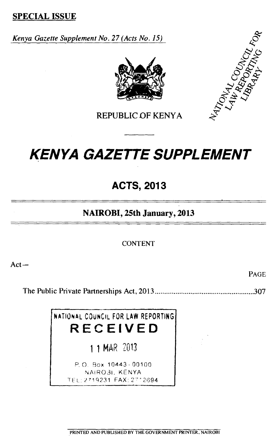**SPECIAL ISSUE** 

*Kenya Gazette Supplement No. 27 (Acts No. 15)* 





REPUBLIC OF KENYA

# *KENYA GAZETTE SUPPLEMENT*

# **ACTS, 2013**

# **NAIROBI, 25th January, 2013**

CONTENT

Act—

PAGE

The Public Private Partnerships Act, 2013 307

**NATIONAL** COUNCIL FOR LAW REPORTING **RECEIVED** 

MAR 2013

P. O. Box 10443 - 00100 NAIR031, KENYA TEL *2<sup>7</sup> 19231* FAX: 2"21394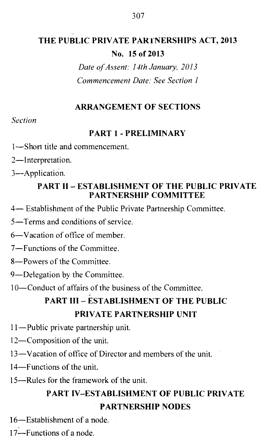# **THE PUBLIC PRIVATE PARTNERSHIPS ACT, 2013 No. 15 of 2013**

*Date of Assent: 14th January, 2013 Commencement Date: See Section 1* 

#### **ARRANGEMENT OF SECTIONS**

#### *Section*

#### **PART 1 - PRELIMINARY**

1—Short title and commencement.

2—Interpretation.

3--Application.

### **PART II – ESTABLISHMENT OF THE PUBLIC PRIVATE PARTNERSHIP COMMITTEE**

4— Establishment of the Public Private Partnership Committee.

5—Terms and conditions of service.

6—Vacation of office of member.

7—Functions of the Committee.

8—Powers of the Committee.

9—Delegation by the Committee.

10—Conduct of affairs of the business of the Committee.

# **PART III – ESTABLISHMENT OF THE PUBLIC PRIVATE PARTNERSHIP UNIT**

11—Public private partnership unit.

12—Composition of the unit.

13—Vacation of office of Director and members of the unit.

14—Functions of the unit.

15—Rules for the framework of the unit.

# **PART IV–ESTABLISHMENT OF PUBLIC PRIVATE PARTNERSHIP NODES**

16—Establishment of a node.

17—Functions of a node.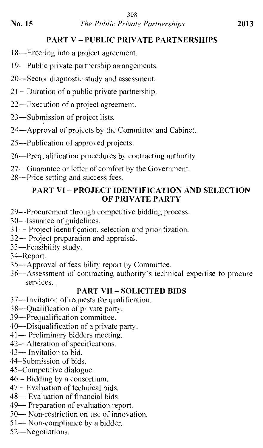# PART V – PUBLIC PRIVATE PARTNERSHIPS

18—Entering into a project agreement.

19—Public private partnership arrangements.

20—Sector diagnostic study and assessment.

21—Duration of a public private partnership.

22—Execution of a project agreement.

23—Submission of project lists.

24—Approval of projects by the Committee and Cabinet.

25—Publication of approved projects.

26—Prequalification procedures by contracting authority.

27—Guarantee or letter of comfort by the Government.

28—Price setting and success fees.

### PART VI – PROJECT IDENTIFICATION AND SELECTION OF PRIVATE PARTY

29—Procurement through competitive bidding process.

30—Issuance of guidelines.

- 31— Project identification, selection and prioritization.
- 32— Project preparation and appraisal.

33-Feasibility study.

34–Report.

35—Approval of feasibility report by Committee.

36—Assessment of contracting authority's technical expertise to procure services.

# PART VII – SOLICITED BIDS

37—Invitation of requests for qualification.

38—Qualification of private party.

3 9—Preq ualification committee.

40—Disqualification of a private party.

41— Preliminary bidders meeting.

42—Alteration of specifications.

43— Invitation to bid.

44–Submission of bids.

45–Competitive dialogue.

46 – Bidding by a consortium.

47—Evaluation of technical bids.

48— Evaluation of financial bids.

49— Preparation of evaluation report.

50— Non-restriction on use of innovation.

51— Non-compliance by a bidder.

52—Negotiations.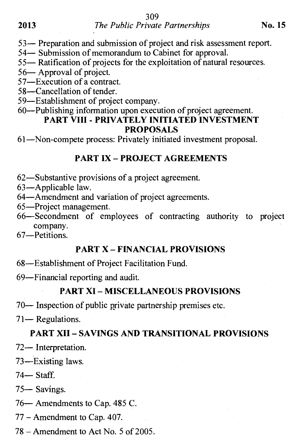#### **2013** *The Public Private Partnerships* **<b>No. 15**

53— Preparation and submission of project and risk assessment report.

54— Submission of memorandum to Cabinet for approval.

55— Ratification of projects for the exploitation of natural resources.

56— Approval of project.

57—Execution of a contract.

58—Cancellation of tender.

59—Establishment of project company.

#### 60—Publishing information upon execution of project agreement. **PART VIII - PRIVATELY INITIATED INVESTMENT PROPOSALS**

61—Non-compete process: Privately initiated investment proposal.

#### **PART IX – PROJECT AGREEMENTS**

62—Substantive provisions of a project agreement.

63—Applicable law.

64—Amendment and variation of project agreements.

65—Project management.

66—Secondment of employees of contracting authority to project company.

67—Petitions.

#### **PART X – FINANCIAL PROVISIONS**

68—Establishment of Project Facilitation Fund.

69—Financial reporting and audit.

#### **PART XI – MISCELLANEOUS PROVISIONS**

70— Inspection of public private partnership premises etc.

71— Regulations.

#### **PART XII – SAVINGS AND TRANSITIONAL PROVISIONS**

72— Interpretation.

73—Existing laws.

74— Staff.

75— Savings.

76— Amendments to Cap. 485 C.

77 – Amendment to Cap. 407.

78 – Amendment to Act No. 5 of 2005.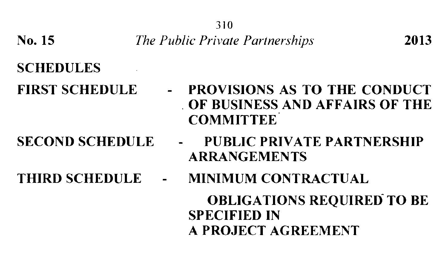310

No. 15 *The Public Private Partnerships* 2013

# SCHEDULES

FIRST SCHEDULE - PROVISIONS AS TO THE CONDUCT

- 
- OF BUSINESS AND AFFAIRS OF THE **COMMITTEE**
- SECOND SCHEDULE PUBLIC PRIVATE PARTNERSHIP ARRANGEMENTS
- THIRD SCHEDULE MINIMUM CONTRACTUAL

**OBLIGATIONS REQUIRED TO BE** SPECIFIED IN A PROJECT AGREEMENT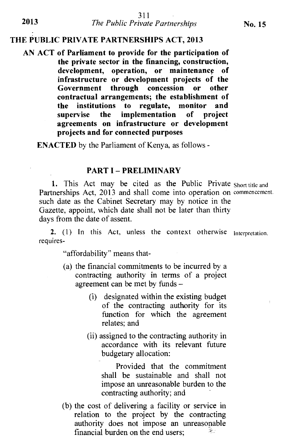#### **THE PUBLIC PRIVATE PARTNERSHIPS ACT, 2013**

**AN ACT of Parliament to provide for the participation of the private sector in the financing, construction, development, operation, or maintenance of infrastructure or development projects of the Government through concession or other contractual arrangements; the establishment of the institutions to regulate, monitor and supervise the implementation of project agreements on infrastructure or development projects and for connected purposes** 

**ENACTED** by the Parliament of Kenya, as follows -

#### **PART I — PRELIMINARY**

1. This Act may be cited as the Public Private Short title and Partnerships Act, 2013 and shall come into operation on commencement. such date as the Cabinet Secretary may by notice in the Gazette, appoint, which date shall not be later than thirty days from the date of assent.

2. (1) In this Act, unless the context otherwise Interpretation. requires-

"affordability" means that-

- (a) the financial commitments to be incurred by a contracting authority in terms of a project agreement can be met by funds —
	- (i) designated within the existing budget of the contracting authority for its function for which the agreement relates; and
	- (ii) assigned to the contracting authority in accordance with its relevant future budgetary allocation:

Provided that the commitment shall be sustainable and shall not impose an unreasonable burden to the contracting authority; and

(b) the cost of delivering a facility or service in relation to the project by the contracting authority does not impose an unreasonable financial burden on the end users;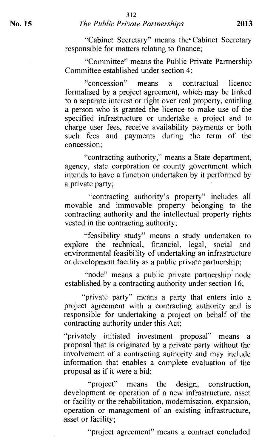#### **No. 15** *The Public Private Partnerships* **2013**

"Cabinet Secretary" means the Cabinet Secretary responsible for matters relating to finance;

"Committee" means the Public Private Partnership Committee established under section 4;

"concession" means a contractual licence formalised by a project agreement, which may be linked to a separate interest or right over real property, entitling a person who is granted the licence to make use of the specified infrastructure or undertake a project and to charge user fees, receive availability payments or both such fees and payments during the term of the concession;

-contracting authority," means a State department, agency, state corporation or county government which intends to have a function undertaken by it performed by a private party;

"contracting authority's property" includes all movable and immovable property belonging to the contracting authority and the intellectual property rights vested in the contracting authority;

"feasibility study" means a study undertaken to explore the technical, financial, legal, social and environmental feasibility of undertaking an infrastructure or development facility as a public private partnership;

"node" means a public private partnership node established by a contracting authority under section 16;

"private party" means a party that enters into a project agreement with a contracting authority and is responsible for undertaking a project on behalf of the contracting authority under this Act;

"privately initiated investment proposal" means a proposal that is originated by a private party without the involvement of a contracting authority and may include information that enables a complete evaluation of the proposal as if it were a bid;

"project" means the design, construction, development or operation of a new infrastructure, asset or facility or the rehabilitation, modernisation, expansion, operation or management of an existing infrastructure, asset or facility;

"project agreement" means a contract concluded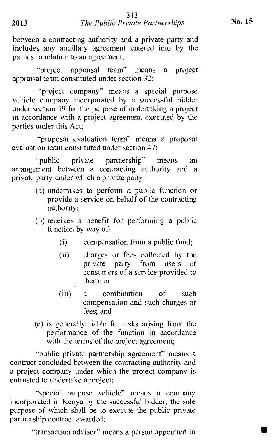between a contracting authority and a private party and includes any ancillary agreement entered into by the parties in relation to an agreement;

"project appraisal team" means a project appraisal team constituted under section 32;

"project company" means a special purpose vehicle company incorporated by a successful bidder under section 59 for the purpose of undertaking a project in accordance with a project agreement executed by the parties under this Act;

"proposal evaluation team" means a proposal evaluation team constituted under section 47;

"public private partnership" means an arrangement between a contracting authority and a private party under which a private party—

- (a) undertakes to perform a public function or provide a service on behalf of the contracting authority;
- (b) receives a benefit for performing a public function by way of-
	- (i) compensation from a public fund;
	- (ii) charges or fees collected by the private party from users or consumers of a service provided to them; or
	- (iii) a combination of such compensation and such charges or fees; and
- (c) is generally liable for risks arising from the performance of the function in accordance with the terms of the project agreement;

"public private partnership agreement" means a contract concluded between the contracting authority and a project company under which the project company is entrusted to undertake a project;

"special purpose vehicle" means a company incorporated in Kenya by the successful bidder, the sole purpose of which shall be to execute the public private partnership contract awarded;

"transaction advisor" means a person appointed in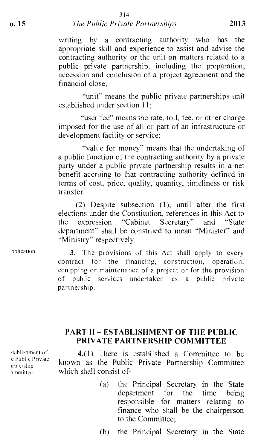#### **o. 15** *The Public Private Partnerships* **2013**

writing by a contracting authority who has the appropriate skill and experience to assist and advise the contracting authority or the unit on matters related to a public private partnership, including the preparation, accession and conclusion of a project agreement and the financial close;

"unit" means the public private partnerships unit established under section  $11$ ;

"user fee" means the rate, toll, fee, or other charge imposed for the use of all or part of an infrastructure or development facility or service:

"value for money" means that the undertaking of a public function of the contracting authority by a private party under a public private partnership results in a net benefit accruing to that contracting authority defined in terms of cost, price, quality, quantity, timeliness or risk transfer.

(2) Despite subsection (1), until after the first elections under the Constitution, references in this Act to<br>the expression "Cabinet Secretary" and "State the expression "Cabinet Secretary" and department" shall be construed to mean "Minister" and "Ministry" respectively.

pplication. 3. The provisions of this Act shall apply to every contract for the financing, construction, operation, equipping or maintenance of a project or for the provision of public services undertaken as a public private partnership.

#### **PART II — ESTABLISHMENT OF THE PUBLIC PRIVATE PARTNERSHIP COMMITTEE**

stablishment of e Public Private trtnership )mmittee.

**4.(1)** There is established a Committee to be known as the Public Private Partnership Committee which shall consist of-

> (a) the Principal Secretary in the State department for the time being responsible for matters relating to finance who shall be the chairperson to the Committee;

(b) the Principal Secretary in the State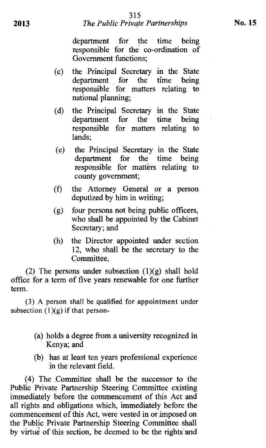# 2013 *The Public Private Partnerships* **No. 15**

department for the time being responsible for the co-ordination of Government functions;

- (c) the Principal Secretary in the State department for the time being responsible for matters relating to national planning;
- (d) the Principal Secretary in the State department for the time being responsible for matters relating to lands;
- (e) the Principal Secretary in the State department for the time being responsible for matters relating to county government;
- (f) the Attorney General or a person deputized by him in writing;
- (g) four persons not being public officers, who shall be appointed by the Cabinet Secretary; and
- (h) the Director appointed under section 12, who shall be the secretary to the Committee.

(2) The persons under subsection  $(1)(g)$  shall hold office for a term of five years renewable for one further term.

**(3)** A person shall be qualified for appointment under subsection  $(1)(g)$  if that person-

- (a) holds a degree from a university recognized in Kenya; and
- (b) has at least ten years professional experience in the relevant field.

(4) The Committee shall be the successor to the Public Private Partnership Steering Committee existing immediately before the commencement of this Act and all rights and obligations which, immediately before the commencement of this Act, were vested in or imposed on the Public Private Partnership Steering Committee shall by virtue of this section, be deemed to be the rights and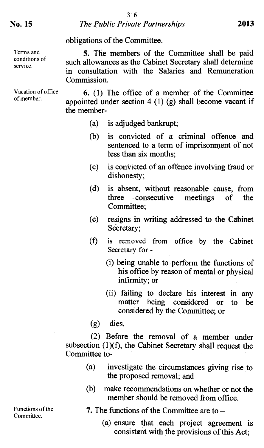#### obligations of the Committee.

**5.** The members of the Committee shall be paid such allowances as the Cabinet Secretary shall determine in consultation with the Salaries and Remuneration Commission.

**6.** (1) The office of a member of the Committee appointed under section  $4(1)(g)$  shall become vacant if the member-

- (a) is adjudged bankrupt;
- (b) is convicted of a criminal offence and sentenced to a term of imprisonment of not less than six months;
- (c) is convicted of an offence involving fraud or dishonesty;
- (d) is absent, without reasonable cause, from three consecutive meetings of the Committee;
- (e) resigns in writing addressed to the Cabinet Secretary:
- (f) is removed from office by the Cabinet Secretary for -
	- (i) being unable to perform the functions of his office by reason of mental or physical infirmity; or
	- (ii) failing to declare his interest in any matter being considered or to be considered by the Committee; or
- (g) dies.

(2) Before the removal of a member under subsection  $(1)(f)$ , the Cabinet Secretary shall request the Committee to-

- (a) investigate the circumstances giving rise to the proposed removal; and
- (b) make recommendations on whether or not the member should be removed from office.
- 7. The functions of the Committee are to
	- (a) ensure that each project agreement is consistent with the provisions of this Act;

Terms and conditions of service.

Vacation of office of member.

Functions of the Committee.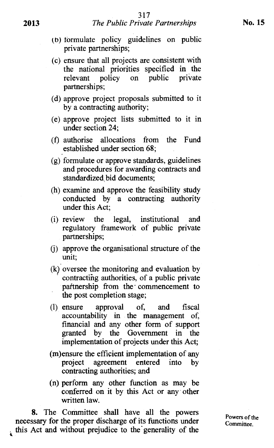- (b) formulate policy guidelines on public private partnerships;
- (c) ensure that all projects are consistent with the national priorities specified in the relevant policy on public private partnerships;
- (d) approve project proposals submitted to it by a contracting authority;
- (e) approve project lists submitted to it in under section 24;
- (f) authorise allocations from the Fund established under section 68;
- (g) formulate or approve standards, guidelines and procedures for awarding contracts and standardized, bid documents;
- (h) examine and approve the feasibility study conducted by a contracting authority under this Act;
- (i) review the legal, institutional and regulatory framework of public private partnerships;
- (j) approve the organisational structure of the unit;
- (k) oversee the monitoring and evaluation by contracting authorities, of a public private partnership from the commencement to the post completion stage;
- **(1)** ensure approval of, and fiscal accountability in the management of, financial and any other form of support granted by the Government in the implementation of projects under this Act;
- (m)ensure the efficient implementation of any project agreement entered into by contracting authorities; and
- (n) perform any other function as may be conferred on it by this Act or any other written law.

**8.** The Committee shall have all the powers necessary for the proper discharge of its functions under this Act and without prejudice to the' generality of the

Powers of the Committee.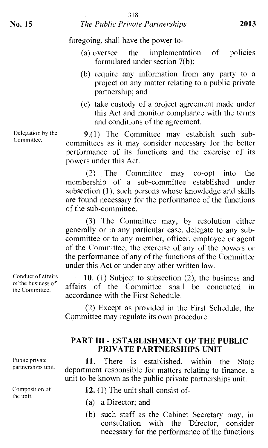- (a) oversee the implementation of policies formulated under section 7(b);
- (b) require any information from any party to a project on any matter relating to a public private partnership; and
- (c) take custody of a project agreement made under this Act and monitor compliance with the terms and conditions of the agreement.

9.(1) The Committee may establish such subcommittees as it may consider necessary for the better performance of its functions and the exercise of its powers under this Act.

(2) The Committee may co-opt into the membership of a sub-committee established under subsection (1), such persons whose knowledge and skills are found necessary for the performance of the functions of the sub-committee.

(3) The Committee may, by resolution either generally or in any particular case, delegate to any subcommittee or to any member, officer, employee or agent of the Committee, the exercise of any of the powers or the performance of any of the functions of the Committee under this Act or under any other written law.

**10.** (1) Subject to subsection (2), the business and affairs of the Committee shall be conducted in accordance with the First Schedule.

(2) Except as provided in the First Schedule, the Committee may regulate its own procedure.

#### **PART HI - ESTABLISHMENT OF THE PUBLIC PRIVATE PARTNERSHIPS UNIT**

11. There is established, within the State department responsible for matters relating to finance, a unit to be known as the public private partnerships unit.

- 12. (1) The unit shall consist of-
- (a) a Director; and
- (b) such staff as the Cabinet Secretary may, in consultation with the Director, consider necessary for the performance of the functions

Conduct of affairs of the business of the Committee.

Delegation by the Committee.

Public private partnerships unit.

Composition of the unit.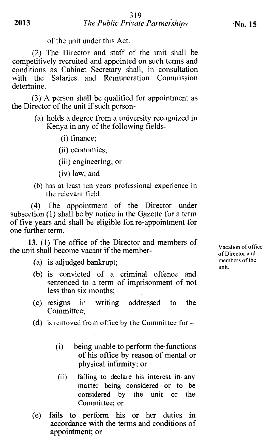of the unit under this Act.

(2) The Director and staff of the unit shall be competitively recruited and appointed on such terms and conditions as Cabinet Secretary shall, in consultation with the Salaries and Remuneration Commission determine.

(3) A person shall be qualified for appointment as the Director of the unit if such person-

- (a) holds a degree from a university recognized in Kenya in any of the following fields-
	- (i) finance;
	- (ii) economics;
	- (iii) engineering; or
	- (iv) law; and
- (b) has at least ten years professional experience in the relevant field.

(4) The appointment of the Director under subsection (1) shall be by notice in the Gazette for a term of five years and shall be eligible for re-appointment for one further term.

**13.** (1) The office of the Director and members of the unit shall become vacant if the member-

- (a) is adjudged bankrupt;
- (b) is convicted of a criminal offence and sentenced to a term of imprisonment of not less than six months;
- (c) resigns in writing addressed to the Committee;
- (d) is removed from office by the Committee for  $-$ 
	- (i) being unable to perform the functions of his office by reason of mental or physical infirmity; or
	- (ii) failing to declare his interest in any matter being considered or to be considered by the unit or the Committee; or
- (e) fails to perform his or her duties in accordance with the terms and conditions of appointment; or

Vacation of office of Director and members of the unit.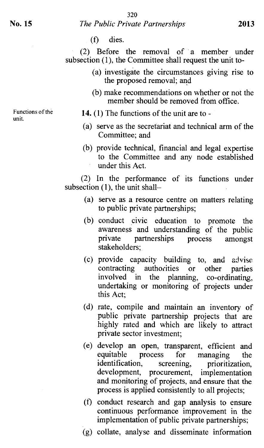(f) dies.

(2) Before the removal of a member under subsection (1), the Committee shall request the unit to-

- (a) investigate the circumstances giving rise to the proposed removal; and
- (b) make recommendations on whether or not the member should be removed from office.

Functions of the unit.

- **14.** (1) The functions of the unit are to -
- (a) serve as the secretariat and technical arm of the Committee; and
- (b) provide technical, financial and legal expertise to the Committee and any node established under this Act.

(2) In the performance of its functions under subsection (1), the unit shall—

- (a) serve as a resource centre on matters relating to public private partnerships;
- (b) conduct civic education to promote the awareness and understanding of the public private partnerships process amongst stakeholders;
- (c) provide capacity building to, and advise contracting authorities or other parties<br>involved in the planning, co-ordinating, planning, co-ordinating, undertaking or monitoring of projects under this Act;
- (d) rate, compile and maintain an inventory of public private partnership projects that are highly rated and which are likely to attract private sector investment;
- (e) develop an open, transparent, efficient and equitable process for managing the<br>identification, screening, prioritization, prioritization, development, procurement, implementation and monitoring of projects, and ensure that the process is applied consistently to all projects;
- (f) conduct research and gap analysis to ensure continuous performance improvement in the implementation of public private partnerships;
- (g) collate, analyse and disseminate information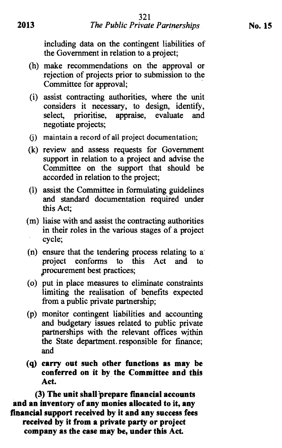including data on the contingent liabilities of the Government in relation to a project;

- (h) make recommendations on the approval or rejection of projects prior to submission to the Committee for approval;
- (i) assist contracting authorities, where the unit considers it necessary, to design, identify, select, prioritise, appraise, evaluate and negotiate projects;
- (j) maintain a record of all project documentation;
- (k) review and assess requests for Government support in relation to a project and advise the Committee on the support that should be accorded in relation to the project;
- (1) assist the Committee in formulating guidelines and standard documentation required under this Act;
- (m) liaise with and assist the contracting authorities in their roles in the various stages of a project cycle;
- (n) ensure that the tendering process relating to a project conforms to this Act and to procurement best practices;
- (o) put in place measures to eliminate constraints limiting the realisation of benefits expected from a public private partnership;
- (p) monitor contingent liabilities and accounting and budgetary issues related to public private partnerships with the relevant offices within the State department. responsible for finance; and
- **(q) carry out such other functions as may be conferred on it by the Committee and this Act.**

**(3) The unit shall prepare financial accounts and an inventory of any monies allocated to it, any financial support received by it and any success fees**  *received* **by it from a private party or project company as the case may be, under this Act.**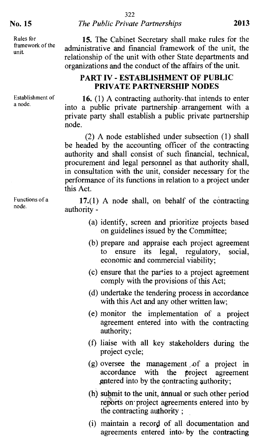Rules for framework of the unit.

Establishment of a node.

Functions of a node.

15. The Cabinet Secretary shall make rules for the administrative and financial framework of the unit, the relationship of the unit with other State departments and organizations and the conduct of the affairs of the unit.

#### **PART IV - ESTABLISHMENT OF PUBLIC PRIVATE PARTNERSHIP NODES**

16. (1) A contracting authority that intends to enter into a public private partnership . arrangement with a private party shall establish a public private partnership node.

(2) A node established under subsection (1) shall be headed by the accounting officer of the contracting authority and shall consist of such financial, technical, procurement and legal personnel as that authority shall, in consultation with the unit, consider necessary for the performance of its functions in relation to a project under this Act.

**17.(1)** A node shall, on behalf of the contracting authority -

- (a) identify, screen and prioritize projects based on guidelines issued by the Committee;
- (b) prepare and appraise each project agreement to ensure its legal, regulatory, social, economic and commercial viability;
- (c) ensure that the parties to a project agreement comply with the provisions of this Act;
- (d) undertake the tendering process in accordance with this Act and any other written law;
- (e) monitor the implementation of a project agreement entered into with the contracting authority;
- (f) liaise with all key stakeholders during the project cycle;
- (g) oversee the management of a project in accordance with the project agreement accordance with the project agreement entered into by the contracting authority;
- (h) submit to the unit, annual or such other period reports on project agreements entered into by the contracting authority ;
- (i) maintain a record of all documentation and agreements entered into: by the contracting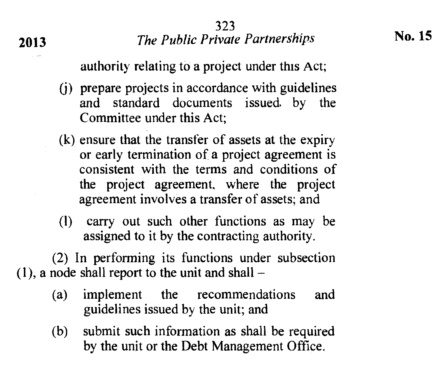authority relating to a project under this Act;

- (j) prepare projects in accordance with guidelines and standard documents issued. by the Committee under this Act;
- (k) ensure that the transfer of assets at the expiry or early termination of a project agreement is consistent with the terms and conditions of the project agreement, where the project agreement involves a transfer of assets; and
- (1) carry out such other functions as may be assigned to it by the contracting authority.

(2) In performing its functions under subsection  $(1)$ , a node shall report to the unit and shall –

- (a) implement the recommendations and guidelines issued by the unit; and
- (b) submit such information as shall be required by the unit or the Debt Management Office.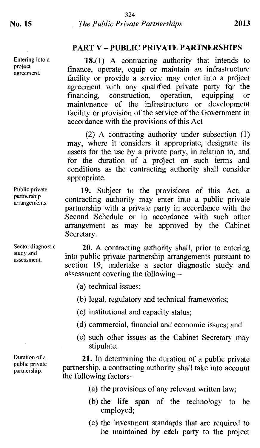Entering into a project agreement.

#### **PART V — PUBLIC PRIVATE PARTNERSHIPS**

**18.(1)** A contracting authority that intends to finance, operate, equip or maintain an infrastructure facility or provide a service may enter into a project agreement with any qualified private party for the financing, construction, operation, equipping or construction, operation, equipping or maintenance of the infrastructure or development facility or provision of the service of the Government in accordance with the provisions of this Act

(2) A contracting authority under subsection (1) may, where it considers it appropriate, designate its assets for the use by a private party, in relation to, and for the duration of a project on such terms and conditions as the contracting authority shall consider appropriate.

**19.** Subject to the provisions of this Act, a contracting authority may enter into a public private partnership with a private party in accordance with the Second Schedule or in accordance with such other arrangement as may be approved by the Cabinet Secretary.

**20.** A contracting authority shall, prior to entering into public private partnership arrangements pursuant to section 19, undertake a sector diagnostic study and assessment covering the following —

- (a) technical issues;
- (b) legal, regulatory and technical frameworks;
- (c) institutional and capacity status;
- (d) commercial, financial and economic issues; and
- (e) such other issues as the Cabinet Secretary may stipulate.

**21.** In determining the duration of a public private partnership, a contracting authority shall take into account the following factors-

- (a) the provisions of any relevant written law;
- (b) the life span of the technology to be employed;
- (c) the investment standards that are required to be maintained by each party to the project

Public private partnership arrangements.

Sector diagnostic study and assessment.

Duration of a public private partnership.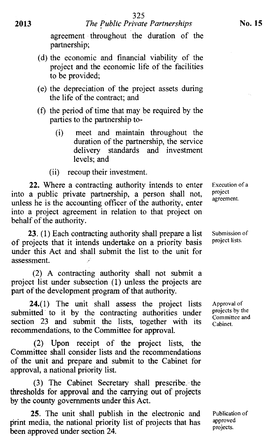2013 *The Public Private Partnerships* 

agreement throughout the duration of the partnership;

- (d) the economic and financial viability of the project and the economic life of the facilities to be provided;
- (e) the depreciation of the project assets during the life of the contract; and
- (f) the period of time that may be required by the parties to the partnership to-
	- (i) meet and maintain throughout the duration of the partnership, the service delivery standards and investment levels; and
	- (ii) recoup their investment.

22. Where a contracting authority intends to enter into a public private partnership, a person shall not, unless he is the accounting officer of the authority, enter into a project agreement in relation to that project on behalf of the authority.

23. (1) Each contracting authority shall prepare a list of projects that it intends undertake on a priority basis under this Act and shall submit the list to the unit for assessment.

(2) A contracting authority shall not submit a project list under subsection (1) unless the projects are part of the development program of that authority.

24.(1) The unit shall assess the project lists submitted to it by the contracting authorities under section 23 and submit the lists, together with its recommendations, to the Committee for approval.

(2) Upon receipt of the project lists, the Committee shall consider lists and the recommendations of the unit and prepare and submit to the Cabinet for approval, a national priority list.

(3) The Cabinet Secretary shall prescribe the thresholds for approval and the carrying out of projects by the county governments under this Act.

25. The unit shall publish in the electronic and print media, the national priority list of projects that has been approved under section 24.

Execution of a project agreement.

Submission of project lists.

Approval of projects by the Committee and Cabinet.

Publication of approved projects.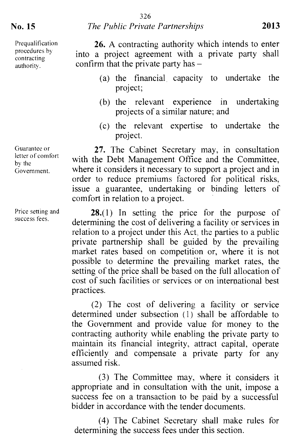Prequalification procedures by contracting authority.

Guarantee or letter of comfort by the Government.

Price setting and success fees.

**26.** A contracting authority which intends to enter into a project agreement with a private party shall confirm that the private party has —

- (a) the financial capacity to undertake the project;
- (b) the relevant experience in undertaking projects of a similar nature; and
- (c) the relevant expertise to undertake the project.

**27.** The Cabinet Secretary may, in consultation with the Debt Management Office and the Committee, where it considers it necessary to support a project and in order to reduce premiums factored for political risks, issue a guarantee, undertaking or binding letters of comfort in relation to a project.

**28.(1)** In setting the price for the purpose of determining the cost of delivering a facility or services in relation to a project under this Act, the parties to a public private partnership shall be guided by the prevailing market rates based on competition or, where it is not possible to determine the prevailing market rates, the setting of the price shall be based on the full allocation of cost of such facilities or services or on international best practices.

(2) The cost of delivering a facility or service determined under subsection (1) shall be affordable to the Government and provide value for money to the contracting authority while enabling the private party to maintain its financial integrity, attract capital, operate efficiently and compensate a private party for any assumed risk.

(3) The Committee may, where it considers it appropriate and in consultation with the unit, impose a success fee on a transaction to be paid by a successful bidder in accordance with the tender documents.

(4) The Cabinet Secretary shall make rules for determining the success fees under this section.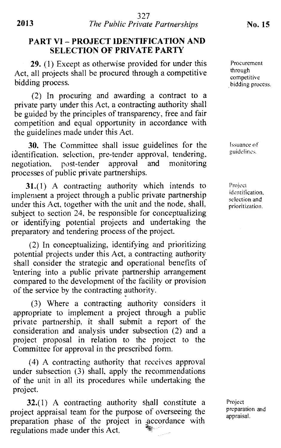#### **PART VI — PROJECT IDENTIFICATION AND SELECTION OF PRIVATE PARTY**

29. (1) Except as otherwise provided for under this Act, all projects shall be procured through a competitive bidding process.

(2) In procuring and awarding a contract to a private party under this Act, a contracting authority shall be guided by the principles of transparency, free and fair competition and equal opportunity in accordance with the guidelines made under this Act.

30. The Committee shall issue guidelines for the identification, selection, pre-tender approval, tendering, negotiation, post-tender approval and monitoring negotiation, post-tender processes of public private partnerships.

**31.(1)** A contracting authority which intends to implement a project through a public private partnership under this Act, together with the unit and the node, shall, subject to section 24, be responsible for conceptualizing or identifying potential projects and undertaking the preparatory and tendering process of the project.

(2) In conceptualizing, identifying and prioritizing potential projects under this Act, a contracting authority shall consider the strategic and operational benefits of entering into a public private partnership arrangement compared to the development of the facility or provision of the service by the contracting authority.

(3) Where a contracting authority considers it appropriate to implement a project through a public private partnership, it shall submit a report of the consideration and analysis under subsection (2) and a project proposal in relation to the project to the Committee for approval in the prescribed form.

(4) A contracting authority that *receives* approval under subsection (3) shall, apply the recommendations of the unit in all its procedures while undertaking the project.

**32.(1)** A contracting authority shall constitute a project appraisal team for the purpose of overseeing the preparation phase of the project in accordance with regulations made under this Act.

Procurement through competitive bidding process,

Issuance of guidelines.

Project identification. selection and prioritization.

Project preparation and appraisal.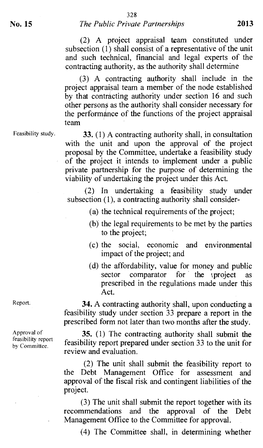(2) A project appraisal team constituted under subsection (1) shall consist of a representative of the unit and such technical, financial and legal experts of the contracting authority, as the authority shall determine

(3) A contracting authority shall include in the project appraisal team a member of the node established by that contracting authority under section 16 and such other persons as the authority shall consider necessary for the performance of the functions of the project appraisal team

Feasibility study.

**33.** (1) A contracting authority shall, in consultation with the unit and upon the approval of the project proposal by the Committee, undertake a feasibility study of the project it intends to implement under a public private partnership for the purpose of determining the viability of undertaking the project under this Act.

(2) In undertaking a feasibility study under subsection (1), a contracting authority shall consider-

(a) the technical requirements of the project;

- (b) the legal requirements to be met by the parties to the project;
- (c) the social, economic and environmental impact of the project; and
- (d) the affordability, value for money and public sector comparator for the tproject as prescribed in the regulations made under this Act.

**34.** A contracting authority shall, upon conducting a feasibility study under section 33 prepare a report in the prescribed form not later than two months after the study.

**35.** (1) The contracting authority shall submit the feasibility report prepared under section 33 to the unit for review and evaluation.

(2) The unit shall submit the feasibility report to the Debt Management Office for assessment and approval of the fiscal risk and contingent liabilities of the project.

(3) The unit shall submit the report together with its recommendations and the approval of the Debt Management Office to the Committee for approval.

(4) The Committee shall, in determining whether

Report.

Approval of feasibility report by Committee.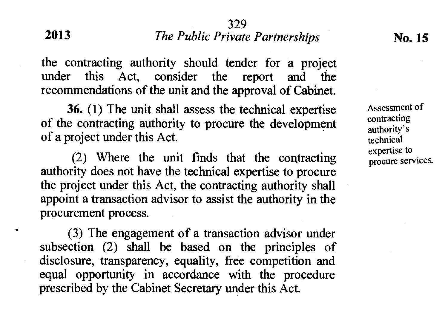#### 329 **2013** *The Public Private Partnerships* **No. 15**

the contracting authority should tender for a project under this Act, consider the report and the recommendations of the unit and the approval of Cabinet.

**36.** (1) The unit shall assess the technical expertise of the contracting authority to procure the development of a project under this Act.

(2) Where the unit finds that the contracting authority does not have the technical expertise to procure the project under this Act, the contracting authority shall appoint a transaction advisor to assist the authority in the procurement process.

. (3) The engagement of a transaction advisor under subsection (2) shall be based on the principles of disclosure, transparency, equality, free competition and equal opportunity in accordance with the procedure prescribed by the Cabinet Secretary under this Act.

Assessment of contracting authority's technical expertise to procure services.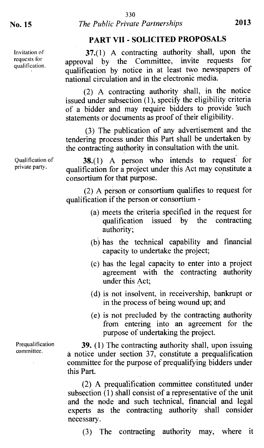Invitation of requests for qualification.

#### **PART VII - SOLICITED PROPOSALS**

**37.**(1) A contracting authority shall, upon the committee invite requests for approval by the Committee, invite requests qualification by notice in at least two newspapers of national circulation and in the electronic media.

(2) A contracting authority shall, in the notice issued under subsection (1), specify the eligibility criteria of a bidder and may require bidders to provide 'such statements or documents as proof of their eligibility.

(3) The publication of any advertisement and the tendering process under this Part shall be undertaken by the contracting authority in consultation with the unit.

**38.(1)** A person who intends to request for qualification for a project under this Act may constitute a consortium for that purpose.

> (2) A person or consortium qualifies to request for qualification if the person or consortium -

- (a) meets the criteria specified in the request for qualification issued by the contracting authority;
- (b) has the technical capability and financial capacity to undertake the project;
- (c) has the legal capacity to enter into a project agreement with the contracting authority under this Act;
- (d) is not insolvent, in receivership, bankrupt or in the process of being wound up; and
- (e) is not precluded by the contracting authority from entering into an agreement for the purpose of undertaking the project.

**39.** (1) The contracting authority shall, upon issuing a notice under section 37, constitute a prequalification committee for the purpose of prequalifying bidders under this Part.

(2) A prequalification committee constituted under subsection (1) shall consist of a representative of the unit and the node and such technical, financial and legal experts as the contracting authority shall consider necessary.

(3) The contracting authority may, where it

Qualification of private party.

Prequalification committee.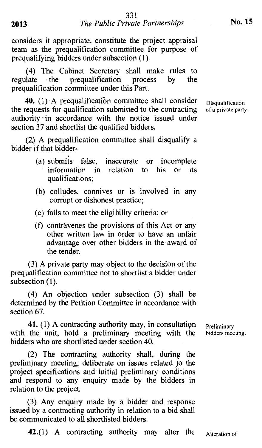considers it appropriate, constitute the project appraisal team as the prequalification committee for purpose of prequalifying bidders under subsection (1).

(4) The Cabinet Secretary shall make rules to regulate the prequalification process by the prequalification committee under this Part.

**40.** (1) A prequalification committee shall consider Disqualification the requests for qualification submitted to the contracting of a private party. authority in accordance with the notice issued under section 37 and shortlist the qualified bidders.

(2.) A prequalification committee shall disqualify a bidder if that bidder-

- (a) submits false, inaccurate or incomplete information in relation to his or its qualifications;
- (b) colludes, connives or is involved in any corrupt or dishonest practice;
- (e) fails to meet the eligibility criteria; or
- (f) contravenes the provisions of this Act or any other written law in order to have an unfair advantage over other bidders in the award of the tender.

(3) A private party may object to the decision of the prequalification committee not to shortlist a bidder under subsection (1).

(4) An objection under subsection (3) shall be determined by the Petition Committee in accordance with section 67.

41. (1) A contracting authority may, in consultation Preliminary with the unit, hold a preliminary meeting with the bidders meeting. bidders who are shortlisted under section 40.

(2) The contracting authority shall, during the preliminary meeting, deliberate on issues related to the project specifications and initial preliminary conditions and respond to any enquiry made by the bidders in relation to the project

(3) Any enquiry made by a bidder and response issued by a contracting authority in relation to a bid shall be communicated to all shortlisted bidders.

42.(1) A contracting authority may alter the  $\Delta t$  Alteration of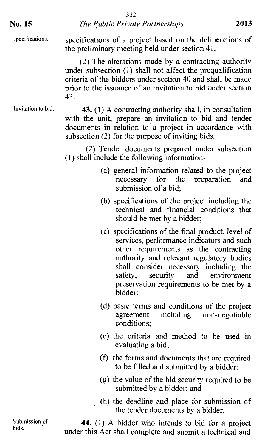332 **No. 15** *The Public Private Partnerships* **2013** 

specifications.

specifications of a project based on the deliberations of the preliminary meeting held under section 41.

(2) The alterations made by a contracting authority under subsection (1) shall not affect the prequalification criteria of the bidders under section 40 and shall be made prior to the issuance of an invitation to bid under section 43.

#### Invitation to bid.

**43.** (1) A contracting authority shall, in consultation with the unit, prepare an invitation to bid and tender documents in relation to a project in accordance with subsection (2) for the purpose of inviting bids.

(2) Tender documents prepared under subsection (1) shall include the following information-

- (a) general information related to the project necessary for the preparation and submission of a bid;
- (b) specifications of the project including the technical and financial conditions that should be met by a bidder;
- (c) specifications of the final product, level of services, performance indicators and such other requirements as the contracting authority and relevant regulatory bodies shall consider necessary including the safety, security and environment preservation requirements to be met by a bidder;
- (d) basic terms and conditions of the project agreement including non-negotiable conditions;
- (e) the criteria and method to be used in evaluating a bid;
- (f) the forms and documents that are required to be filled and submitted by a bidder;
- (g) the value of the bid security required to be submitted by a bidder; and
- (h) the deadline and place for submission of the tender documents by a bidder.

Submission of bids.

**44.** (1) A bidder who intends to bid for a project under this Act shall complete and submit a technical and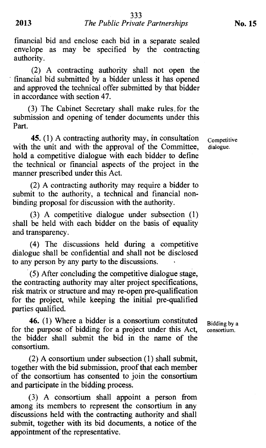financial bid and enclose each bid in a separate sealed envelope as may be specified by the contracting authority.

(2) A contracting authority shall not open the financial bid submitted by a bidder unless it has opened and approved the technical offer submitted by that bidder in accordance with section 47.

(3) The Cabinet Secretary shall make rules. for the submission and opening of tender documents under this Part.

**45.** (1) A contracting authority may, in consultation with the unit and with the approval of the Committee, hold a competitive dialogue with each bidder to define the technical or financial aspects of the project in the manner prescribed under this Act.

(2) A contracting authority may require a bidder to submit to the authority, a technical and financial nonbinding proposal for discussion with the authority.

(3) A competitive dialogue under subsection (1) shall be held with each bidder on the basis of equality and transparency.

(4) The discussions held during a competitive dialogue shall be confidential and shall not be disclosed to any person by any party to the discussions.

(5) After concluding the competitive dialogue stage, the contracting authority may alter project specifications, risk matrix or structure and may re-open pre-qualification for the project, while keeping the initial pre-qualified parties qualified.

**46.** (1) Where a bidder is a consortium constituted for the purpose of bidding for a project under this Act, the bidder shall submit the bid in the name of the consortium.

(2) A consortium under subsection (1) shall submit, together with the bid submission, proof that each member of the consortium has consented to join the consortium and participate in the bidding process.

(3) A consortium shall appoint a person from among its members to represent the consortium in any discussions held with the contracting authority and shall submit, together with its bid documents, a notice of the appointment of the representative.

Competitive dialogue.

Bidding by a consortium.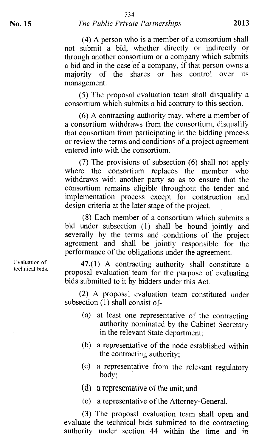(4) A person who is a member of a consortium shall not submit a bid, whether directly or indirectly or through another consortium or a company which submits a bid and in the case of a company, if that person owns a majority of the shares or has control over its management.

(5) The proposal evaluation team shall disqualify a consortium which submits a bid contrary to this section.

(6) A contracting authority may, where a member of a consortium withdraws from the consortium, disqualify that consortium from participating in the bidding process or review the terms and conditions of a project agreement entered into with the consortium.

(7) The provisions of subsection (6) shall not apply where the consortium replaces the member who withdraws with another party so as to ensure that the consortium remains eligible throughout the tender and implementation process except for construction and design criteria at the later stage of the project.

(8) Each member of a consortium which submits a bid under subsection (1) shall be bound jointly and severally by the terms and conditions of the project agreement and shall be jointly responsible for the performance of the obligations under the agreement.

47.(1) A contracting authority shall constitute a proposal evaluation team for the purpose of evaluating bids submitted to it by bidders under this Act.

(2) A proposal evaluation team constituted under subsection (1) shall consist of-

- (a) at least one representative of the contracting authority nominated by the Cabinet Secretary in the relevant State department;
- (b) a representative of the node established within the contracting authority;
- (c) a representative from the relevant regulatory body;
- (d) a representative of the unit; and
- (e) a representative of the Attorney-General.

(3) The proposal evaluation team shall open and evaluate the technical bids submitted to the contracting authority under section 44 within the time and in

Evaluation of technical bids.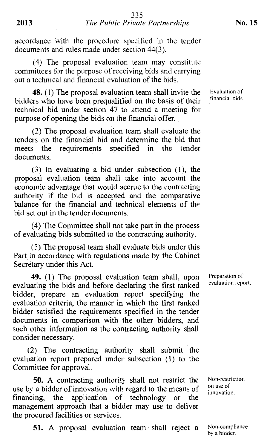accordance with the procedure specified in the tender documents and rules made under section 44(3).

(4) The proposal evaluation team may constitute committees for the purpose of receiving bids and carrying out a technical and financial evaluation of the bids.

48. (1) The proposal evaluation team shall invite the bidders who have been prequalified on the basis of their technical bid under section 47 to attend a meeting for purpose of opening the bids on the financial offer.

(2) The proposal evaluation team shall evaluate the tenders on the financial bid and determine the bid that meets the requirements specified in the tender documents.

(3) In evaluating a bid under subsection (1), the proposal evaluation team shall take into account the economic advantage that would accrue to the contracting authority if the bid is accepted and the comparative balance for the financial and technical elements of the bid set out in the tender documents.

(4) The Committee shall not take part in the process of evaluating bids submitted to the contracting authority.

(5) The proposal team shall evaluate bids under this Part in accordance with regulations made by the Cabinet Secretary under this Act.

49. (1) The proposal evaluation team shall, upon evaluating the bids and before declaring the first ranked bidder, prepare an evaluation report specifying the evaluation criteria, the manner in which the first ranked bidder satisfied the requirements specified in the tender - documents in comparison with the other bidders, and such other information as the contracting authority shall consider necessary.

(2) The contracting authority shall submit the evaluation report prepared under subsection (1) to the Committee for approval.

50. A contracting authority shall not restrict the use by a bidder of innovation with regard to the means of financing, the application of technology or the management approach that a bidder may use to deliver the procured facilities or services.

51. A proposal evaluation team shall reject a

Evaluation of financial bids.

Preparation of evaluation report.

Non-restriction on use of innovation.

Non-compliance by a bidder.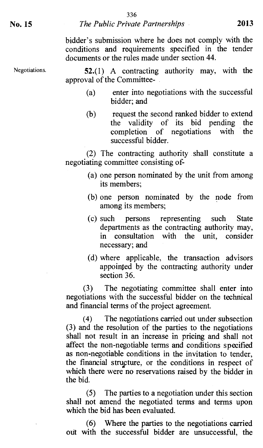#### **No. 15** *The Public Private Partnerships* **2013**

bidder's submission where he does not comply with the conditions and requirements specified in the tender documents or the rules made under section 44.

Negotiations. **52.(1)** A contracting authority may, with the approval of the Committee-

- (a) enter into negotiations with the successful bidder; and
- (b) request the second ranked bidder to extend the validity of its bid pending the completion of negotiations with the successful bidder.

(2) The contracting authority shall constitute a negotiating committee consisting of-

- (a) one person nominated by the unit from among its members;
- (b) one person nominated by the node from among its members;
- (c) such persons representing such State departments as the contracting authority may, in consultation with the unit, consider necessary; and
- (d) where applicable, the transaction advisors appointed by the contracting authority under section 36.

(3) The negotiating committee shall enter into negotiations with the successful bidder on the technical and financial terms of the project agreement.

(4) The negotiations carried out under subsection (3) and the resolution of the parties to the negotiations shall not result in an increase in pricing and shall not affect the non-negotiable terms and conditions specified as non-negotiable conditions in the invitation to tender, the financial structure, or the conditions in respect of which there were no reservations raised by the bidder in the bid.

(5) The parties to a negotiation under this section shall not amend the negotiated terms and terms upon which the bid has been evaluated.

(6) Where the parties to the negotiations carried out with the successful bidder are unsuccessful, the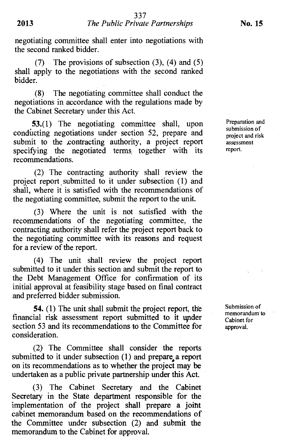negotiating committee shall enter into negotiations with the second ranked bidder.

(7) The provisions of subsection (3), (4) and (5) shall apply to the negotiations with the second ranked bidder.

(8) The negotiating committee shall conduct the negotiations in accordance with the regulations made by the Cabinet Secretary under this Act.

**53.(1)** The negotiating committee shall, upon conducting negotiations under section 52, prepare and submit to the contracting authority, a project report specifying the negotiated terms together with its recommendations.

(2) The contracting authority shall review the project report submitted to it under subsection (1) and shall, where it is satisfied with the recommendations of the negotiating committee, submit the report to the unit.

(3) Where the unit is not satisfied with the recommendations of the negotiating committee, the contracting authority shall refer the project report back to the negotiating committee with its reasons and request for a review of the report.

(4) The unit shall review the project report submitted to it under this section and submit the report to the Debt Management Office for confirmation of its initial approval at feasibility stage based on final contract and preferred bidder submission.

**54. (1)** The unit shall submit the project report, the financial risk assessment report submitted to it under section 53 and its recommendations to the Committee for consideration.

(2) The Committee shall consider the reports submitted to it under subsection (1) and prepare, a report on its recommendations as to whether the project may be undertaken as a public private partnership under this Act.

(3) The Cabinet Secretary and the Cabinet Secretary in the State department responsible for the implementation of the project shall prepare a joiht cabinet memorandum based on the recommendations of the Committee under subsection (2) and submit the memorandum to the Cabinet for approval.

Preparation and submission of project and risk assessment report.

Submission of memorandum to Cabinet for approval.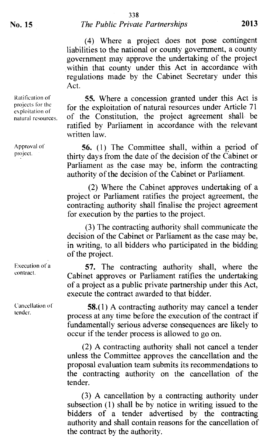#### 338 No. **15** *The Public Private Partnerships* 2013

(4) Where a project does not pose contingent liabilities to the national or county government, a county government may approve the undertaking of the project within that county under this Act in accordance with regulations made by the Cabinet Secretary under this Act.

55. Where a concession granted under this Act is for the exploitation of natural resources under Article *71*  of the Constitution, the project agreement shall be ratified by Parliament in accordance with the relevant written law.

**56.** (1) The Committee shall, within a period of thirty days from the date of the decision of the Cabinet or Parliament as the case may be, inform the contracting authority of the decision of the Cabinet or Parliament.

(2) Where the Cabinet approves undertaking of a project or Parliament ratifies the project agreement, the contracting authority shall finalise the project agreement for execution by the parties to the project.

(3) The contracting authority shall communicate the decision of the Cabinet or Parliament as the case may be, in writing, to all bidders who participated in the bidding of the project.

**57.** The contracting authority shall, where the Cabinet approves or Parliament ratifies the undertaking of a project as a public private partnership under this Act, execute the contract awarded to that bidder.

**58.**(1) A contracting authority may cancel a tender process at any time before the execution of the contract if fundamentally serious adverse consequences are likely to occur if the tender process is allowed to go on.

(2) A contracting authority shall not cancel a tender unless the Committee approves the cancellation and the proposal evaluation team submits its recommendations to the contracting authority on the cancellation of the tender.

(3) A cancellation by a contracting authority under subsection (1) shall be by notice in writing issued to the bidders of a tender advertised by the contracting authority and shall contain reasons for the cancellation of the contract by the authority.

Ratification of projects for the exploitation of natural resources.

Approval of project.

Execution of a contract.

Cancellation of tender.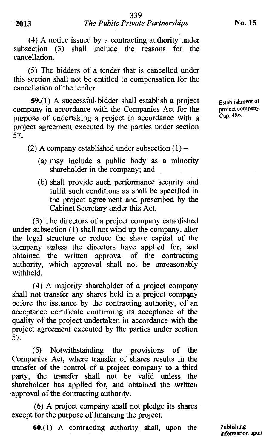(4) A notice issued by a contracting authority under subsection (3) shall include the reasons for the cancellation.

(5) The bidders of a tender that is cancelled under this section shall not be entitled to compensation for the cancellation of the tender.

**59.(1)** A successful• bidder shall establish a project company in accordance with the Companies Act for the purpose of undertaking a project in accordance with a project agreement executed by the parties under section 57.

(2) A company established under subsection  $(1)$  –

- (a) may include a public body as a minority shareholder in the company; and
- (b) shall provide such performance security and fulfil such conditions as shall be specified in the project agreement and prescribed by the Cabinet Secretary under this Act.

(3) The directors of a project company established under subsection (1) shall not wind up the company, alter the legal structure or reduce the share capital of the company unless the directors have applied for, and obtained the written approval of the contracting authority, which approval shall not be unreasonably withheld.

(4) A majority shareholder of a project company shall not transfer any shares held in a project company before the issuance by the contracting authority, of an acceptance certificate confirming its acceptance of the quality of the project undertaken in accordance with the project agreement executed by the parties under section 57.

(5) Notwithstanding the provisions of the Companies Act, where transfer of shares results in the transfer of the control of a project company to a third party, the transfer shall not be valid unless the shareholder has applied for, and obtained the written -approval of the contracting authority.

(6) A project company shalt not pledge its shares except for the purpose of financing the project.

60.(1) A contracting authority shall, upon the Publishing

Establishment of project company. Cap. 486.

information upon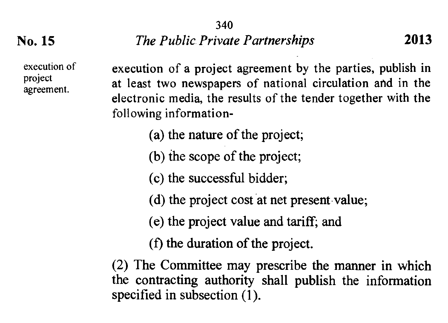340

**No. 15** *The Public. Private Partnerships* **2013** 

execution of a project agreement by the parties, publish in project<br>of local time parameters of patienal simulation and in the project at least two newspapers of national circulation and in the electronic media, the results of the tender together with the following information-

(a) the nature of the project;

(b) the scope of the project;

(c) the successful bidder;

(d) the project cost at net present value;

(e) the project value and tariff; and

(f) the duration of the project.

(2) The Committee may prescribe the manner in which the contracting authority shall publish the information specified in subsection (1).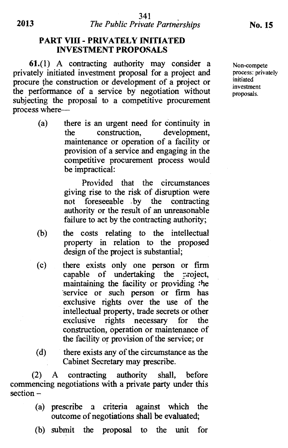#### **PART VIII - PRIVATELY INITIATED INVESTMENT PROPOSALS**

**61.(1)** A contracting authority may consider a privately initiated investment proposal for a project and procure the construction or development of a project or the performance of a service by negotiation without subjecting the proposal to a competitive procurement process where—

> (a) there is an urgent need for continuity in the construction, development, maintenance or operation of a facility or provision of a service and engaging in the competitive procurement process would be impractical:

> > Provided that the circumstances giving rise to the risk of disruption were not foreseeable .by the contracting authority or the result of an unreasonable failure to act by the contracting authority;

- (b) the costs relating to the intellectual property in relation to the proposed design of the project is substantial;
- (c) there exists only one person or firm capable of undertaking the  $\pi$ -zoject, maintaining the facility or providing the 'service or such person or firm has exclusive rights over the use of the intellectual property, trade secrets or other exclusive rights necessary for the construction, operation or maintenance of the facility or provision of the service; or
- (d) there exists any of the circumstance as the Cabinet Secretary may prescribe.

(2) A contracting authority shall, before commencing negotiations with a private party under this section –

- (a) prescribe a criteria against which the outcome of negotiations shall be evaluated;
- (b) submit the proposal to the unit for

Non-compete process: privately initiated investment proposals.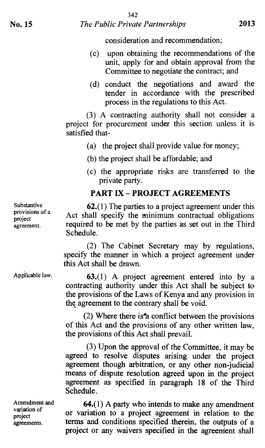#### **No. 15** *The Public Private Partnerships* **2013**

consideration and recommendation;

- (c) upon obtaining the recommendations of the unit, apply for and obtain approval from the Committee to negotiate the contract; and
- (d) conduct the negotiations and award the tender in accordance with the prescribed process in the regulations to this Act.

(3) A contracting authority shall not consider a project for procurement under this section unless it is satisfied that-

- (a) the project shall provide value for money;.
- (b) the project shall be affordable; and
- (c) the appropriate risks are transferred to the private party.

#### **PART IX — PROJECT AGREEMENTS**

Substantive provisions of a project agreement.

**62.**(1) The parties to a project agreement under this Act shall specify the minimum contractual obligations required to be met by the parties as set out in the Third Schedule.

(2) The Cabinet Secretary may by regulations, specify the manner in which a project agreement under this Act shall be drawn.

**63.(1) A** project agreement entered into by a contracting authority under this Act shall be subject tothe provisions of the Laws of Kenya and any provision in the agreement to the contrary shall be void.

(2) Where there is'a conflict between the provisions of this Act and the provisions of any other written law, the provisions of this Act shall prevail.

(3) Upon the approval of the Committee, it may be agreed to resolve disputes arising under the project agreement though arbitration, or any other non judicial means of dispute resolution agreed upon in the project agreement as specified in paragraph 18 of the Third **Schedule.** 

**64.(1) A party who intends to make any amendment or variation to a project agreement in relation to the terms and conditions specified-therein, the outputs of a**  project or any waivers specified in the agreement shall

Applicable law.

Amendment and variation of project agreements.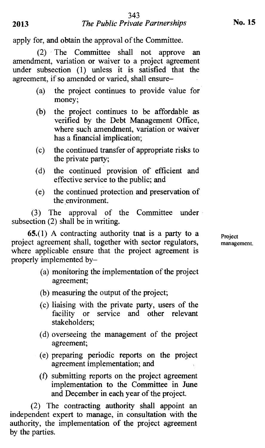apply for, and obtain the approval of the Committee.

(2) The Committee shall not approve an amendment, variation or waiver to a project agreement under subsection (1) unless it is satisfied that the agreement, if so amended or varied, shall ensure—

- (a) the project continues to provide value for money;
- (b) the project continues to be affordable as verified by the Debt Management Office, where such amendment, variation or waiver has a financial implication;
- (c) the continued transfer of appropriate risks to the private party;
- (d) the continued provision of efficient and effective service to the public; and
- (e) the continued protection and preservation of the environment.

(3) The approval of the Committee under subsection (2) shall be in writing.

**65.**(1) A contracting authority tnat is a party to a  $P_{\text{reject}}$ project agreement shall, together with sector regulators, management. where applicable ensure that the project agreement is properly implemented by—

- (a) monitoring the implementation of the project agreement;
- (b) measuring the output of the project;
- (c) liaising with the private party, users of the facility or service and other relevant stakeholders;
- (d) overseeing the management of the project agreement;
- (e) preparing periodic reports on the project agreement implementation; and
- (f) submitting reports on the project agreement implementation to the Committee in June and December in each year of the project.

(2) The contracting authority shall appoint an independent expert to manage, in consultation with the authority, the implementation of the project agreement by the parties.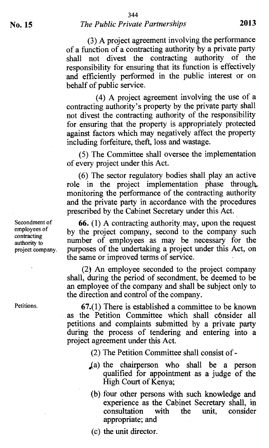(3) A project agreement involving the performance of a function of a contracting authority by a private party shall not divest the contracting authority of the responsibility for ensuring that its function is effectively and efficiently performed in the public interest or on behalf of public service.

(4) A project agreement involving the use of a contracting authority's property by the private party shall not divest the contracting authority of the responsibility for ensuring that the property is appropriately protected against factors which may negatively affect the property including forfeiture, theft, loss and wastage.

(5) The Committee shall oversee the implementation of every project under this Act.

 $(6)$  The sector regulatory bodies shall play an active role in the project implementation phase through. monitoring the performance of the contracting authority and the private party in accordance with the procedures prescribed by the Cabinet Secretary under this Act.

**66.** (1) A contracting authority\_ may, upon the request by the project company, second to the company such number of employees as may be necessary for the purposes of the undertaking a project under this Act, on the same or improved terms of service.

(2) An employee seconded to the project company shall, during the period of secondment, be deemed to be an employee of the company and shall be subject only to the direction and control of the company.

**67.(1)** There is established a committee to be known as the Petition Committee which shall consider all petitions and complaints submitted by a private party during the process of tendering and entering into a project agreement under this Act.

- (2) The Petition Committee shall consist of -
- <sup>4</sup>(a) the chairperson who shall be a person qualified for appointment as a judge of the High Court of Kenya:
- (b) four other persons with such knowledge and experience as the Cabinet Secretary shall, in consultation with the unit, consider appropriate; and
- (c) the unit director.

Secondment of employees of contracting authority to project company.

Petitions.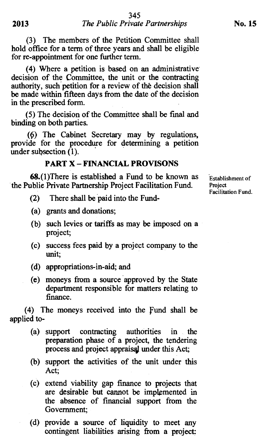(3) The members of the Petition Committee shall hold office for a term of three years and shall be eligible for re-appointment for one further term.

(4) Where a petition is based on an administrative decision of the Committee, the unit or the contracting authority, such petition for a review of the decision shall be made within fifteen days from the date of the decision in the prescribed form.

(5) The decision of the Committee shall be final and binding on both parties.

(0) The Cabinet Secretary may by regulations, provide for the procedure for determining a petition under subsection  $(1)$ .

#### **PART X — FINANCIAL PROVISONS**

68.(l)There is established a Fund to be known as the Publie Private Partnership Project Facilitation Fund.

- (2) There shall be paid into the Fund-
- (a) grants and donations;
- (b) such levies or tariffs as may be imposed on a project;
- (c) success fees paid by a project company to the unit;
- (d) appropriations-in-aid; and
- (e) moneys from a source approved by the State department responsible for matters relating to finance.

(4) The moneys received into the Fund shall be applied to-

- (a) support contracting authorities in the preparation phase of a project, the tendering process and project appraisal under this Act;
- (b) support the activities of the unit under this Act;
- (c) extend viability gap finance to projects that are desirable but cannot be implemented in the absence of financial support from the Government;
- (d) provide a source of liquidity to meet any contingent liabilities arising from a project:

Establishment of Project Facilitation Fund.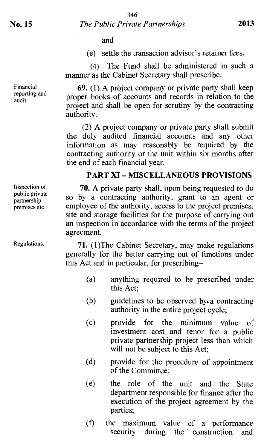and

(e) settle the transaction advisor's retainer fees.

(4) The Fund shall be administered in such a manner as the Cabinet Secretary shall prescribe.

69. (1) A project company or private party shall keep proper books of accounts and records in relation to the project and shall be open for scrutiny by the contracting authority.

(2) A project company or private party shall submit the duly audited financial accounts and any other information as may reasonably be required by the contracting authority or the unit within six months after the end of each financial year.

#### **PART XI — MISCELLANEOUS PROVISIONS**

70. A private party shall, upon being requested to do so by a contracting authority, grant to an agent or employee of the authority, access to the project premises, site and storage facilities for the purpose of carrying out an inspection in accordance with the terms of the project agreement.

71. (1)The Cabinet Secretary, may make regulations generally for the better carrying out of functions under this Act and in particular, for prescribing—

- (a) anything required to be prescribed under this Act;
- (b) guidelines to be observed by a contracting authority in the entire project cycle;
- (c) provide for the minimum value of investment cost and tenor for a public private partnership project less than which will not be subject to this Act;
- (d) provide for the procedure of appointment of the Committee;
- (e) the role of the unit and the State department responsible for finance after the execution of the project agreement by the parties;
- (f) the maximum value of a performance security during the construction and

Financial reporting and audit.

Inspection of public private partnership premises etc.

Regulations.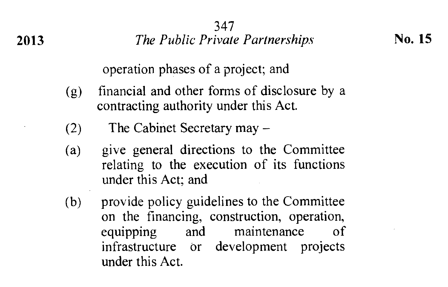**2013** *The Public Private Partnerships* **<b>No. 15** 

operation phases of a project; and

- (g) financial and other forms of disclosure by a contracting authority under this Act.
- (2) The Cabinet Secretary may —
- (a) give general directions to the Committee relating to the execution of its functions under this Act; and
- (b) provide policy guidelines to the Committee on the financing, construction, operation, equipping and maintenance of infrastructure or development projects under this Act.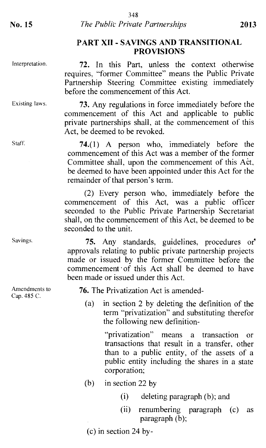#### PART XII - SAVINGS AND TRANSITIONAL PROVISIONS

Interpretation.

72. In this Part, unless the context otherwise requires, "former Committee" means the Public Private Partnership Steering Committee existing immediately before the commencement of this Act.

Existing laws.

Staff.

Savings.

Amendments to Cap. 485 C.

73. Any regulations in force immediately before the commencement of this Act and applicable to public private partnerships shall, at the commencement of this Act, be deemed to be revoked.

74.(1) A person who, immediately before the commencement of this Act was a member of the former Committee shall, upon the commencement of this Act, be deemed to have been appointed under this Act for the remainder of that person's term.

(2) Every person who, immediately before the commencement of this Act, was a public officer seconded to the Public Private Partnership Secretariat shall, on the commencement of this Act, be deemed to be seconded to the unit.

75. Any standards, guidelines, procedures or\* approvals relating to public private partnership projects made or issued by the former Committee before the commencement of this Act shall be deemed to have been made or issued under this Act.

76. The Privatization Act is amended-

(a) in section 2 by deleting the definition of the term "privatization" and substituting therefor the following new definition-

> "privatization" means a transaction or transactions that result in a transfer, other than to a public entity, of the assets of a public entity including the shares in a state corporation;

- (b) in section 22 by
	- (i) deleting paragraph (b); and
	- (ii) renumbering paragraph (c) as paragraph (b);

(c) in section 24 by-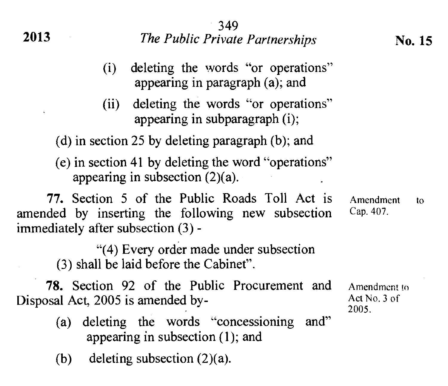|                                                                                          | -349                                                                                               |                                       |  |
|------------------------------------------------------------------------------------------|----------------------------------------------------------------------------------------------------|---------------------------------------|--|
| 2013                                                                                     | The Public Private Partnerships                                                                    | No. 15                                |  |
| (i)                                                                                      | deleting the words "or operations"<br>appearing in paragraph (a); and                              |                                       |  |
| (ii)                                                                                     | deleting the words "or operations"<br>appearing in subparagraph (i);                               |                                       |  |
|                                                                                          | (d) in section 25 by deleting paragraph $(b)$ ; and                                                |                                       |  |
|                                                                                          | (e) in section 41 by deleting the word "operations"<br>appearing in subsection $(2)(a)$ .          |                                       |  |
| immediately after subsection (3) -                                                       | 77. Section 5 of the Public Roads Toll Act is<br>amended by inserting the following new subsection | Amendment<br>tο<br>Cap. 407.          |  |
|                                                                                          | "(4) Every order made under subsection<br>(3) shall be laid before the Cabinet".                   |                                       |  |
| <b>78.</b> Section 92 of the Public Procurement and<br>Disposal Act, 2005 is amended by- |                                                                                                    | Amendment to<br>Act No. 3 of<br>2005. |  |
| (a) deleting the words "concessioning<br>and"<br>appearing in subsection $(1)$ ; and     |                                                                                                    |                                       |  |
| (b)                                                                                      | deleting subsection $(2)(a)$ .                                                                     |                                       |  |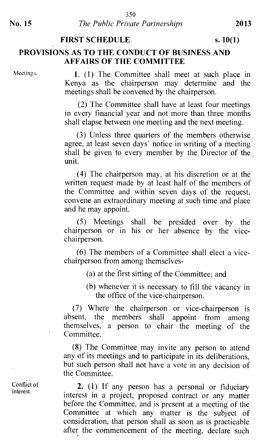#### FIRST SCHEDULE s. 10(1)

#### PROVISIONS AS TO THE CONDUCT OF BUSINESS AND AFFAIRS OF THE COMMITTEE

Meetings.

1. (1) The Committee shall meet at such place in Kenya as the chairperson may determine and the meetings shall be convened by the chairperson.

(2) The Committee shall have at least four meetings in every financial year and not more than three months shall elapse between one meeting and the next meeting.

(3) Unless three quarters of the members otherwise agree, at least seven days' notice in writing of a meeting shall be given to every member by the Director of the . unit.

(4) The chairperson may, at his discretion or at the written request made by at least half of the members of the Committee and within seven days of the request, convene an extraordinary meeting at such time and place and he may appoint.

(5) Meetings shall be presided over by the chairperson or in his or her absence by the vicechairperson.

(6) The members of a Committee shall elect a vicechairperson from among themselves-

(a) at the first sitting of the Committee; and

(b) whenever it is necessary to fill the vacancy in the office of the vice-chairperson.

(7) Where the chairperson or vice-chairperson is absent, the members shall appoint from among themselves, a person to chair the meeting of the Committee.

(8) The Committee may invite any person to attend any of its meetings and to participate in its deliberations, but such person shall not have a vote in any decision of the Committee.

2. (1) If any person has a personal or fiduciary interest in a project, proposed contract or any matter before the Committee, and is present at a meeting of the Committee at which any matter is the subject of consideration, that person shall as soon as is practicable after the commencement of the meeting, declare such

Conflict of interest.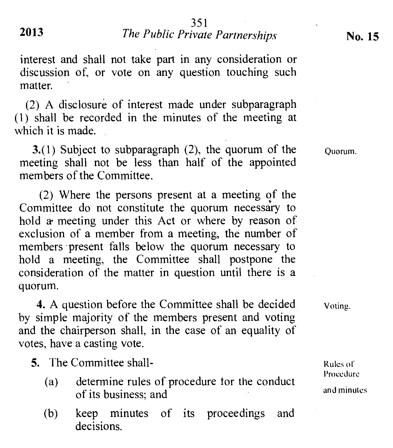### **2013** *The Public Private Partnerships* **No. 15**

interest and shall not take part in any consideration or discussion of, or vote on any question touching such matter.

(2) A disclosure of interest made under subparagraph (1) shall be recorded in the minutes of the meeting at which it is made.

3.(1) Subject to subparagraph (2), the quorum of the meeting shall not be less than half of the appointed members of the Committee.

(2) Where the persons present at a meeting of the Committee do not constitute the quorum necessary to hold a• meeting under this Act or where by reason of exclusion of a member from a meeting, the number of members • present falls below the quorum necessary to hold a meeting, the Committee shall postpone the consideration of the matter in question until there is a quorum.

**4.** A question before the Committee shall be decided by simple majority of the members present and voting and the chairperson shall, in the case of an equality of votes, have a casting vote.

**5.** The Committee shall-

- (a) determine rules of procedure for the conduct of its business; and
- (b) keep minutes of its proceedings and decisions.

Quorum.

Voting.

Rules or Procedure and minutes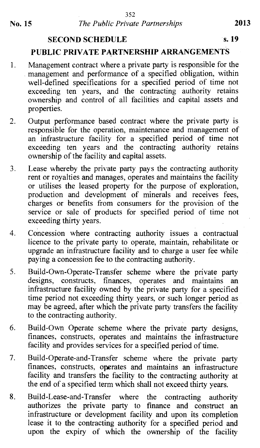#### **SECOND SCHEDULE** s. 19

#### **PUBLIC PRIVATE PARTNERSHIP ARRANGEMENTS**

- 1. Management contract where a private party is responsible for the management and performance of a specified obligation, within well-defined specifications for a specified period of time not exceeding ten years, and the contracting authority retains ownership and control of all facilities and capital assets and properties.
- 2. Output performance based contract where the private party is responsible for the operation, maintenance and management of an infrastructure facility for a specified period of time not exceeding ten years and the contracting authority retains ownership of the facility and capital assets.
- 3. Lease whereby the private party pays the contracting authority rent or royalties and manages, operates and maintains the facility or utilises the leased property for the purpose of exploration, production and development of minerals and receives fees, charges or benefits from consumers for the provision of the service or sale of products for specified period of time not exceeding thirty years.
- 4. Concession where contracting authority issues a contractual licence to the private party to operate, maintain, rehabilitate or upgrade an infrastructure facility and to charge a user fee while paying a concession fee to the contracting authority.
- 5. Build-Own-Operate-Transfer scheme where the private party designs, constructs, finances, operates and maintains an infrastructure facility owned by the private party for a specified time period not exceeding thirty years, or such longer period as may be agreed, after which the private party transfers the facility to the contracting authority.
- 6. Build-Own Operate scheme where the private party designs, finances, constructs, operates and maintains the infrastructure facility and provides services for a specified period of time.
- 7. Build-Operate-and-Transfer scheme where the private party finances, constructs, operates and maintains an infrastructure facility and transfers the facility to the contracting authority at the end of a specified term which shall not exceed thirty years.
- 8. Build-Lease-and-Transfer where the contracting authority authorizes the private party to finance and construct an infrastructure or development facility and upon its completion lease it to the contracting authority for a specified period and upon the expiry of which the ownership of the facility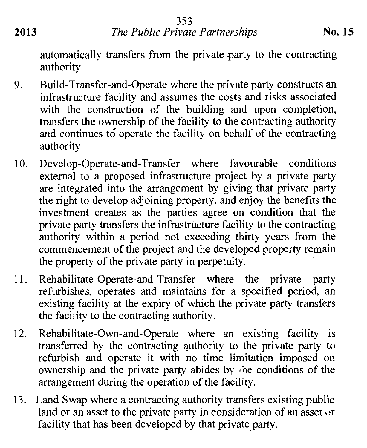**2013** *The Public Private Partnerships* **No. 15** 

automatically transfers from the private party to the contracting authority.

- 9. Build-Transfer-and-Operate where the private party constructs an infrastructure facility and assumes the costs and risks associated with the construction of the building and upon completion, transfers the ownership of the facility to the contracting authority and continues to operate the facility on behalf of the contracting authority.
- 10. Develop-Operate-and-Transfer where favourable conditions external to a proposed infrastructure project by a private party are integrated into the arrangement by giving that private party the right to develop adjoining property, and enjoy the benefits the investment creates as the parties agree on condition that the private party transfers the infrastructure facility to the contracting authority within a period not exceeding thirty years from the commencement of the project and the developed property remain the property of the private party in perpetuity.
- 11. Rehabilitate-Operate-and-Transfer where the private party refurbishes, operates and maintains for a specified period, an existing facility at the expiry of which the private party transfers the facility to the contracting authority.
- 12. Rehabilitate-Own-and-Operate where an existing facility is transferred by the contracting authority to the private party to refurbish and operate it with no time limitation imposed on ownership and the private party abides by :ne conditions of the arrangement during the operation of the facility.
- 13. Land Swap where a contracting authority transfers existing public land or an asset to the private party in consideration of an asset or facility that has been developed by that private party.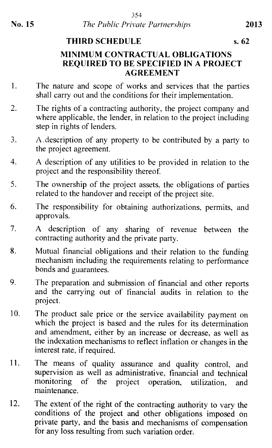# **THIRD SCHEDULE s. 62**

### **MINIMUM CONTRACTUAL OBLIGATIONS REQUIRED TO BE SPECIFIED IN A PROJECT AGREEMENT**

- 1. The nature and scope of works and services that the parties shall carry out and the conditions for their implementation.
- 2. The rights of a contracting authority, the project company and where applicable, the lender, in relation to the project including step in rights of lenders.
- 3. A .description of any property to be contributed by a party to the project agreement.
- 4. A description of any utilities to be provided in relation to the project and the responsibility thereof
- 5. The ownership of the project assets, the obligations of parties related to the handover and receipt of the project site.
- 6. The responsibility for obtaining authorizations, permits, and approvals.
- 7. A description of any sharing of revenue between the contracting authority and the private party.
- 8. Mutual financial obligations and their relation to the funding mechanism including the requirements relating to performance bonds and guarantees.
- 9. The preparation and submission of financial and other reports and the carrying out of financial audits in relation to the project.
- 10. The product sale price or the service availability payment on which the project is based and the rules for its determination and amendment, either by an increase or decrease, as well as the indexation mechanisms to reflect inflation or changes in the interest rate, if required.
- 11. The means of quality assurance and quality control, and supervision as well as administrative, financial and technical monitoring of the project operation, utilization, and maintenance.
- 12. The extent of the right of the contracting authority to vary the conditions of the project and other obligations imposed on private party, and the basis and mechanisms of compensation for any loss resulting from such variation order.